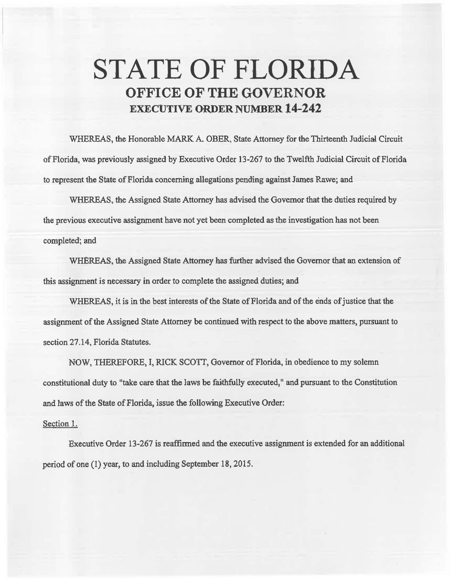## **STATE OF FLORIDA OFFICE OF THE GOVERNOR EXECUTIVE ORDER NUMBER 14-242**

WHEREAS, the Honorable MARK A. OBER, State Attorney for the Thirteenth Judicial Circuit of Florida, was previously assigned by Executive Order 13-267 to the Twelfth Judicial Circuit of Florida to represent the State of Florida concerning allegations pending against James Rawe; and

WHEREAS, the Assigned State Attorney has advised the Governor that the duties required by the previous executive assignment have not yet been completed as the investigation has not been completed; and

WHEREAS, the Assigned State Attorney has further advised the Governor that an extension of this assignment is necessary in order to complete the assigned duties; and

WHEREAS, it is in the best interests of the State of Florida and of the ends of justice that the assignment of the Assigned State Attorney be continued with respect to the above matters, pursuant to section 27.14, Florida Statutes.

NOW, THEREFORE, I, RICK SCOIT, Governor of Florida, in obedience to my solemn constitutional duty to "take care that the laws be faithfully executed," and pursuant to the Constitution and laws of the State of Florida, issue the following Executive Order:

## Section 1.

Executive Order 13-267 is reaffirmed and the executive assignment is extended for an additional period of one (1) year, to and including September 18, 2015.